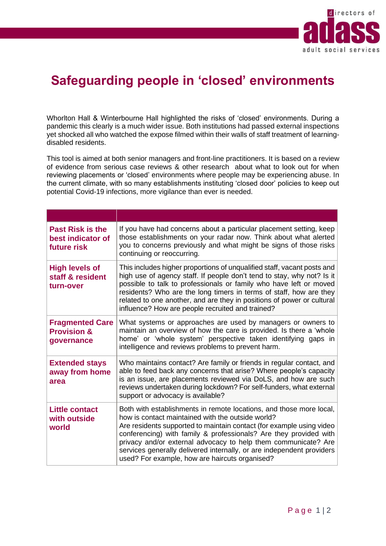

## **Safeguarding people in 'closed' environments**

Whorlton Hall & Winterbourne Hall highlighted the risks of 'closed' environments. During a pandemic this clearly is a much wider issue. Both institutions had passed external inspections yet shocked all who watched the expose filmed within their walls of staff treatment of learningdisabled residents.

This tool is aimed at both senior managers and front-line practitioners. It is based on a review of evidence from serious case reviews & other research about what to look out for when reviewing placements or 'closed' environments where people may be experiencing abuse. In the current climate, with so many establishments instituting 'closed door' policies to keep out potential Covid-19 infections, more vigilance than ever is needed.

| <b>Past Risk is the</b><br>best indicator of<br>future risk    | If you have had concerns about a particular placement setting, keep<br>those establishments on your radar now. Think about what alerted<br>you to concerns previously and what might be signs of those risks<br>continuing or reoccurring.                                                                                                                                                                                                                         |
|----------------------------------------------------------------|--------------------------------------------------------------------------------------------------------------------------------------------------------------------------------------------------------------------------------------------------------------------------------------------------------------------------------------------------------------------------------------------------------------------------------------------------------------------|
| <b>High levels of</b><br>staff & resident<br>turn-over         | This includes higher proportions of unqualified staff, vacant posts and<br>high use of agency staff. If people don't tend to stay, why not? Is it<br>possible to talk to professionals or family who have left or moved<br>residents? Who are the long timers in terms of staff, how are they<br>related to one another, and are they in positions of power or cultural<br>influence? How are people recruited and trained?                                        |
| <b>Fragmented Care</b><br><b>Provision &amp;</b><br>governance | What systems or approaches are used by managers or owners to<br>maintain an overview of how the care is provided. Is there a 'whole<br>home' or 'whole system' perspective taken identifying gaps in<br>intelligence and reviews problems to prevent harm.                                                                                                                                                                                                         |
| <b>Extended stays</b><br>away from home<br>area                | Who maintains contact? Are family or friends in regular contact, and<br>able to feed back any concerns that arise? Where people's capacity<br>is an issue, are placements reviewed via DoLS, and how are such<br>reviews undertaken during lockdown? For self-funders, what external<br>support or advocacy is available?                                                                                                                                          |
| <b>Little contact</b><br>with outside<br>world                 | Both with establishments in remote locations, and those more local,<br>how is contact maintained with the outside world?<br>Are residents supported to maintain contact (for example using video<br>conferencing) with family & professionals? Are they provided with<br>privacy and/or external advocacy to help them communicate? Are<br>services generally delivered internally, or are independent providers<br>used? For example, how are haircuts organised? |